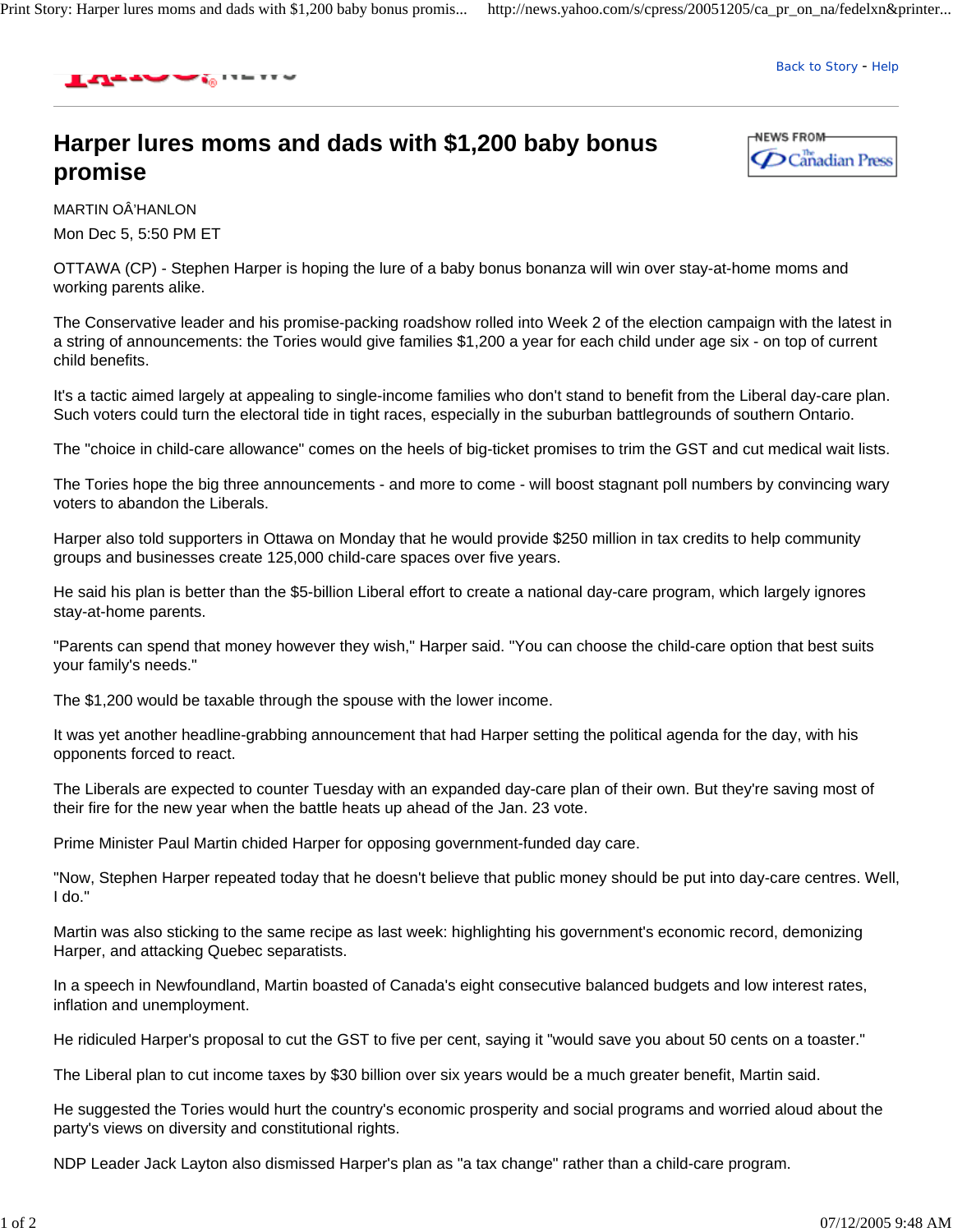

Back to Story - Help

## **Harper lures moms and dads with \$1,200 baby bonus promise**



MARTIN OÂ'HANLON Mon Dec 5, 5:50 PM ET

OTTAWA (CP) - Stephen Harper is hoping the lure of a baby bonus bonanza will win over stay-at-home moms and working parents alike.

The Conservative leader and his promise-packing roadshow rolled into Week 2 of the election campaign with the latest in a string of announcements: the Tories would give families \$1,200 a year for each child under age six - on top of current child benefits.

It's a tactic aimed largely at appealing to single-income families who don't stand to benefit from the Liberal day-care plan. Such voters could turn the electoral tide in tight races, especially in the suburban battlegrounds of southern Ontario.

The "choice in child-care allowance" comes on the heels of big-ticket promises to trim the GST and cut medical wait lists.

The Tories hope the big three announcements - and more to come - will boost stagnant poll numbers by convincing wary voters to abandon the Liberals.

Harper also told supporters in Ottawa on Monday that he would provide \$250 million in tax credits to help community groups and businesses create 125,000 child-care spaces over five years.

He said his plan is better than the \$5-billion Liberal effort to create a national day-care program, which largely ignores stay-at-home parents.

"Parents can spend that money however they wish," Harper said. "You can choose the child-care option that best suits your family's needs."

The \$1,200 would be taxable through the spouse with the lower income.

It was yet another headline-grabbing announcement that had Harper setting the political agenda for the day, with his opponents forced to react.

The Liberals are expected to counter Tuesday with an expanded day-care plan of their own. But they're saving most of their fire for the new year when the battle heats up ahead of the Jan. 23 vote.

Prime Minister Paul Martin chided Harper for opposing government-funded day care.

"Now, Stephen Harper repeated today that he doesn't believe that public money should be put into day-care centres. Well, I do."

Martin was also sticking to the same recipe as last week: highlighting his government's economic record, demonizing Harper, and attacking Quebec separatists.

In a speech in Newfoundland, Martin boasted of Canada's eight consecutive balanced budgets and low interest rates, inflation and unemployment.

He ridiculed Harper's proposal to cut the GST to five per cent, saying it "would save you about 50 cents on a toaster."

The Liberal plan to cut income taxes by \$30 billion over six years would be a much greater benefit, Martin said.

He suggested the Tories would hurt the country's economic prosperity and social programs and worried aloud about the party's views on diversity and constitutional rights.

NDP Leader Jack Layton also dismissed Harper's plan as "a tax change" rather than a child-care program.